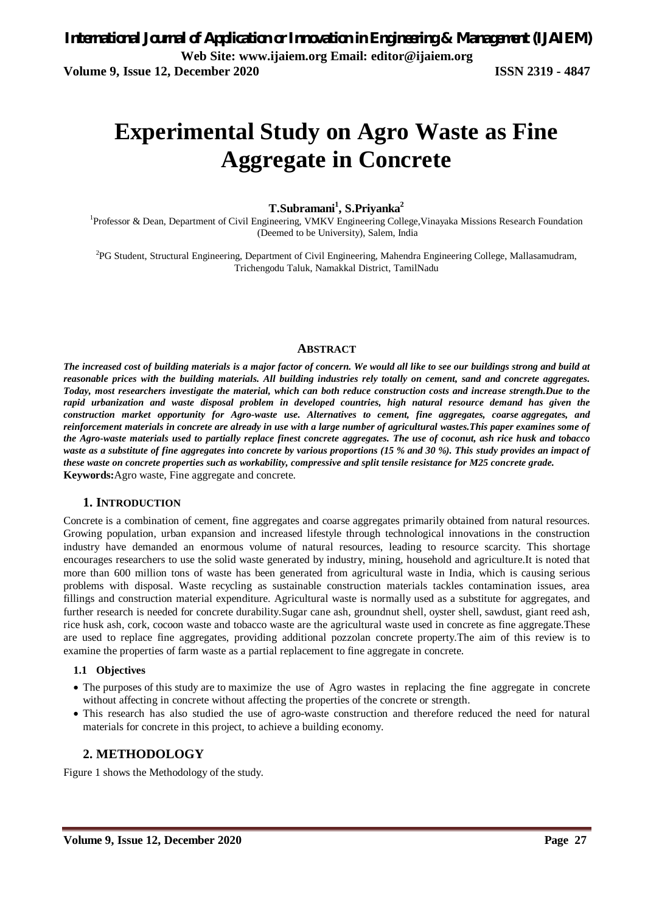# **Experimental Study on Agro Waste as Fine Aggregate in Concrete**

**T.Subramani<sup>1</sup> , S.Priyanka<sup>2</sup>**

<sup>1</sup>Professor & Dean, Department of Civil Engineering, VMKV Engineering College, Vinayaka Missions Research Foundation (Deemed to be University), Salem, India

2 PG Student, Structural Engineering, Department of Civil Engineering, Mahendra Engineering College, Mallasamudram, Trichengodu Taluk, Namakkal District, TamilNadu

#### **ABSTRACT**

*The increased cost of building materials is a major factor of concern. We would all like to see our buildings strong and build at reasonable prices with the building materials. All building industries rely totally on cement, sand and concrete aggregates. Today, most researchers investigate the material, which can both reduce construction costs and increase strength.Due to the rapid urbanization and waste disposal problem in developed countries, high natural resource demand has given the construction market opportunity for Agro-waste use. Alternatives to cement, fine aggregates, coarse aggregates, and reinforcement materials in concrete are already in use with a large number of agricultural wastes.This paper examines some of the Agro-waste materials used to partially replace finest concrete aggregates. The use of coconut, ash rice husk and tobacco waste as a substitute of fine aggregates into concrete by various proportions (15 % and 30 %). This study provides an impact of these waste on concrete properties such as workability, compressive and split tensile resistance for M25 concrete grade.* **Keywords:**Agro waste, Fine aggregate and concrete.

#### **1. INTRODUCTION**

Concrete is a combination of cement, fine aggregates and coarse aggregates primarily obtained from natural resources. Growing population, urban expansion and increased lifestyle through technological innovations in the construction industry have demanded an enormous volume of natural resources, leading to resource scarcity. This shortage encourages researchers to use the solid waste generated by industry, mining, household and agriculture.It is noted that more than 600 million tons of waste has been generated from agricultural waste in India, which is causing serious problems with disposal. Waste recycling as sustainable construction materials tackles contamination issues, area fillings and construction material expenditure. Agricultural waste is normally used as a substitute for aggregates, and further research is needed for concrete durability.Sugar cane ash, groundnut shell, oyster shell, sawdust, giant reed ash, rice husk ash, cork, cocoon waste and tobacco waste are the agricultural waste used in concrete as fine aggregate.These are used to replace fine aggregates, providing additional pozzolan concrete property.The aim of this review is to examine the properties of farm waste as a partial replacement to fine aggregate in concrete.

#### **1.1 Objectives**

- The purposes of this study are to maximize the use of Agro wastes in replacing the fine aggregate in concrete without affecting in concrete without affecting the properties of the concrete or strength.
- This research has also studied the use of agro-waste construction and therefore reduced the need for natural materials for concrete in this project, to achieve a building economy.

### **2. METHODOLOGY**

Figure 1 shows the Methodology of the study.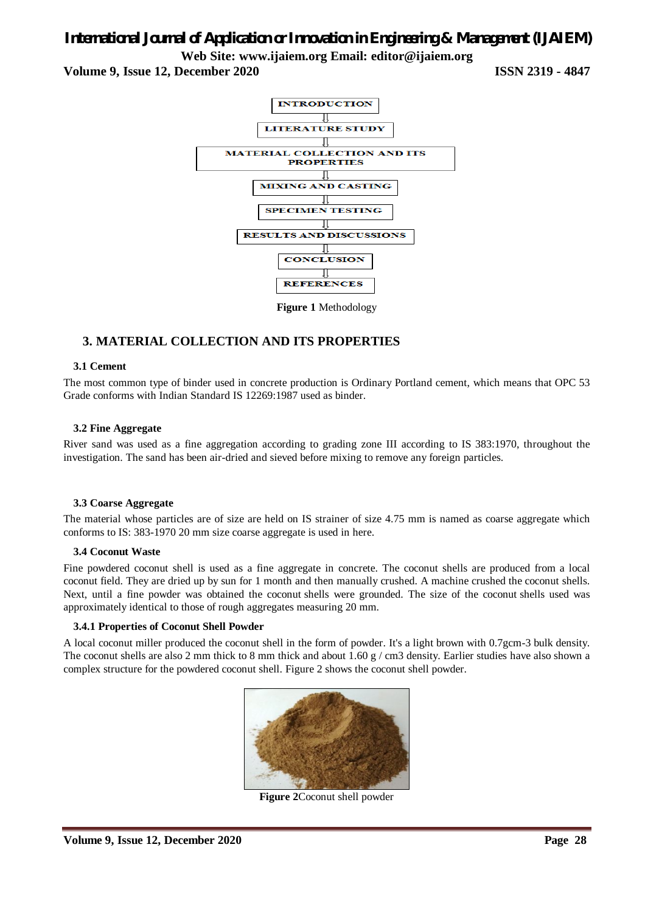# *International Journal of Application or Innovation in Engineering & Management (IJAIEM)*

**Web Site: www.ijaiem.org Email: editor@ijaiem.org**

**Volume 9, Issue 12, December 2020 ISSN 2319 - 4847**



**Figure 1** Methodology

## **3. MATERIAL COLLECTION AND ITS PROPERTIES**

#### **3.1 Cement**

The most common type of binder used in concrete production is Ordinary Portland cement, which means that OPC 53 Grade conforms with Indian Standard IS 12269:1987 used as binder.

#### **3.2 Fine Aggregate**

River sand was used as a fine aggregation according to grading zone III according to IS 383:1970, throughout the investigation. The sand has been air-dried and sieved before mixing to remove any foreign particles.

#### **3.3 Coarse Aggregate**

The material whose particles are of size are held on IS strainer of size 4.75 mm is named as coarse aggregate which conforms to IS: 383-1970 20 mm size coarse aggregate is used in here.

#### **3.4 Coconut Waste**

Fine powdered coconut shell is used as a fine aggregate in concrete. The coconut shells are produced from a local coconut field. They are dried up by sun for 1 month and then manually crushed. A machine crushed the coconut shells. Next, until a fine powder was obtained the coconut shells were grounded. The size of the coconut shells used was approximately identical to those of rough aggregates measuring 20 mm.

#### **3.4.1 Properties of Coconut Shell Powder**

A local coconut miller produced the coconut shell in the form of powder. It's a light brown with 0.7gcm-3 bulk density. The coconut shells are also 2 mm thick to 8 mm thick and about 1.60 g / cm3 density. Earlier studies have also shown a complex structure for the powdered coconut shell. Figure 2 shows the coconut shell powder.



**Figure 2**Coconut shell powder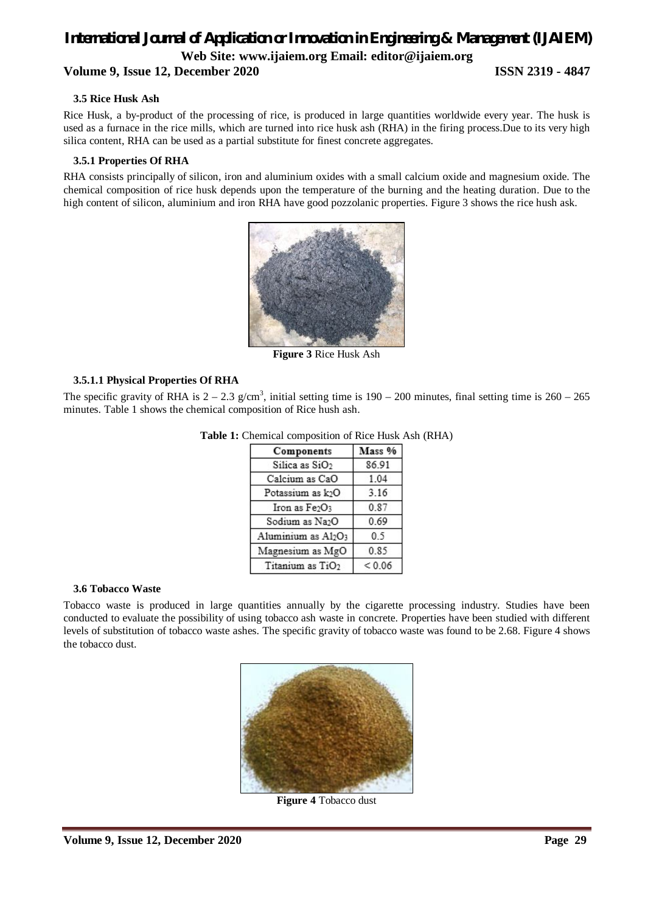# *International Journal of Application or Innovation in Engineering & Management (IJAIEM)* **Web Site: www.ijaiem.org Email: editor@ijaiem.org Volume 9, Issue 12, December 2020 ISSN 2319 - 4847**

#### **3.5 Rice Husk Ash**

Rice Husk, a by-product of the processing of rice, is produced in large quantities worldwide every year. The husk is used as a furnace in the rice mills, which are turned into rice husk ash (RHA) in the firing process.Due to its very high silica content, RHA can be used as a partial substitute for finest concrete aggregates.

#### **3.5.1 Properties Of RHA**

RHA consists principally of silicon, iron and aluminium oxides with a small calcium oxide and magnesium oxide. The chemical composition of rice husk depends upon the temperature of the burning and the heating duration. Due to the high content of silicon, aluminium and iron RHA have good pozzolanic properties. Figure 3 shows the rice hush ask.



**Figure 3** Rice Husk Ash

#### **3.5.1.1 Physical Properties Of RHA**

The specific gravity of RHA is  $2 - 2.3$  g/cm<sup>3</sup>, initial setting time is  $190 - 200$  minutes, final setting time is  $260 - 265$ minutes. Table 1 shows the chemical composition of Rice hush ash.

| Components                   | Mass %     |
|------------------------------|------------|
| Silica as SiO <sub>2</sub>   | 86.91      |
| Calcium as CaO               | 1.04       |
| Potassium as k2O             | 3.16       |
| Iron as Fe2O3                | 0.87       |
| Sodium as Na2O               | 0.69       |
| Aluminium as Al2O3           | 0.5        |
| Magnesium as MgO             | 0.85       |
| Titanium as TiO <sub>2</sub> | ${}< 0.06$ |

#### Table 1: Chemical composition of Rice Husk Ash (RHA)

#### **3.6 Tobacco Waste**

Tobacco waste is produced in large quantities annually by the cigarette processing industry. Studies have been conducted to evaluate the possibility of using tobacco ash waste in concrete. Properties have been studied with different levels of substitution of tobacco waste ashes. The specific gravity of tobacco waste was found to be 2.68. Figure 4 shows the tobacco dust.



**Figure 4** Tobacco dust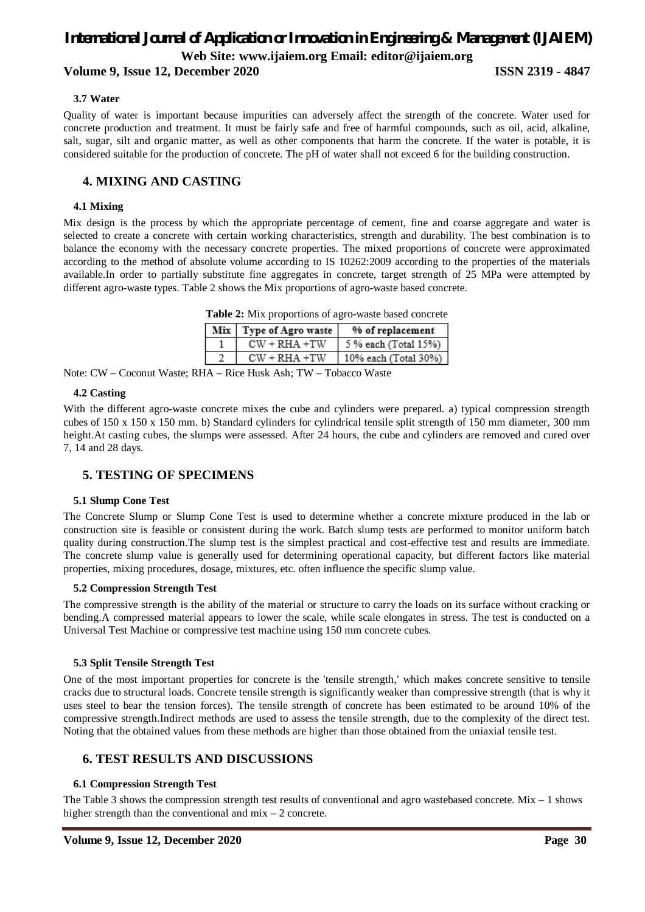#### **Volume 9, Issue 12, December 2020 ISSN 2319 - 4847**

#### **3.7 Water**

Quality of water is important because impurities can adversely affect the strength of the concrete. Water used for concrete production and treatment. It must be fairly safe and free of harmful compounds, such as oil, acid, alkaline, salt, sugar, silt and organic matter, as well as other components that harm the concrete. If the water is potable, it is considered suitable for the production of concrete. The pH of water shall not exceed 6 for the building construction.

## **4. MIXING AND CASTING**

#### **4.1 Mixing**

Mix design is the process by which the appropriate percentage of cement, fine and coarse aggregate and water is selected to create a concrete with certain working characteristics, strength and durability. The best combination is to balance the economy with the necessary concrete properties. The mixed proportions of concrete were approximated according to the method of absolute volume according to IS 10262:2009 according to the properties of the materials available.In order to partially substitute fine aggregates in concrete, target strength of 25 MPa were attempted by different agro-waste types. Table 2 shows the Mix proportions of agro-waste based concrete.

| <b>Table 2:</b> Mix proportions of agro-waste based concrete |                          |                      |  |
|--------------------------------------------------------------|--------------------------|----------------------|--|
|                                                              | Mix   Type of Agro waste | % of replacement     |  |
|                                                              | $CW + RHA + TW$          | 5 % each (Total 15%) |  |
| $\mathcal{I}$                                                | $CW + RHA + TW$          | 10% each (Total 30%) |  |

Note: CW – Coconut Waste; RHA – Rice Husk Ash; TW – Tobacco Waste

#### **4.2 Casting**

With the different agro-waste concrete mixes the cube and cylinders were prepared. a) typical compression strength cubes of 150 x 150 x 150 mm. b) Standard cylinders for cylindrical tensile split strength of 150 mm diameter, 300 mm height.At casting cubes, the slumps were assessed. After 24 hours, the cube and cylinders are removed and cured over 7, 14 and 28 days.

#### **5. TESTING OF SPECIMENS**

#### **5.1 Slump Cone Test**

The Concrete Slump or Slump Cone Test is used to determine whether a concrete mixture produced in the lab or construction site is feasible or consistent during the work. Batch slump tests are performed to monitor uniform batch quality during construction.The slump test is the simplest practical and cost-effective test and results are immediate. The concrete slump value is generally used for determining operational capacity, but different factors like material properties, mixing procedures, dosage, mixtures, etc. often influence the specific slump value.

#### **5.2 Compression Strength Test**

The compressive strength is the ability of the material or structure to carry the loads on its surface without cracking or bending.A compressed material appears to lower the scale, while scale elongates in stress. The test is conducted on a Universal Test Machine or compressive test machine using 150 mm concrete cubes.

#### **5.3 Split Tensile Strength Test**

One of the most important properties for concrete is the 'tensile strength,' which makes concrete sensitive to tensile cracks due to structural loads. Concrete tensile strength is significantly weaker than compressive strength (that is why it uses steel to bear the tension forces). The tensile strength of concrete has been estimated to be around 10% of the compressive strength.Indirect methods are used to assess the tensile strength, due to the complexity of the direct test. Noting that the obtained values from these methods are higher than those obtained from the uniaxial tensile test.

### **6. TEST RESULTS AND DISCUSSIONS**

#### **6.1 Compression Strength Test**

The Table 3 shows the compression strength test results of conventional and agro wastebased concrete. Mix  $-1$  shows higher strength than the conventional and  $mix - 2$  concrete.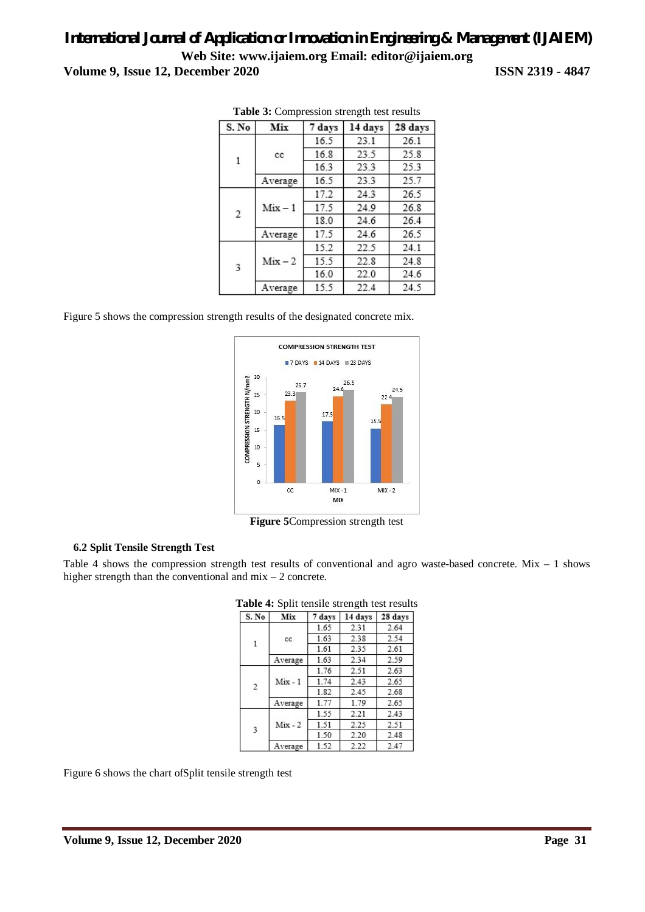| ISSN 2319 - 4847 |  |  |  |
|------------------|--|--|--|
|------------------|--|--|--|

| S. No                   | Mix                  | 7 days | 14 days | 28 days |
|-------------------------|----------------------|--------|---------|---------|
| 1                       | cc<br>Average        | 16.5   | 23.1    | 26.1    |
|                         |                      | 16.8   | 23.5    | 25.8    |
|                         |                      | 16.3   | 23.3    | 25.3    |
|                         |                      | 16.5   | 23.3    | 25.7    |
| $\mathbf{2}$            | $Mix - 1$<br>Average | 17.2   | 24.3    | 26.5    |
|                         |                      | 17.5   | 24.9    | 26.8    |
|                         |                      | 18.0   | 24.6    | 26.4    |
|                         |                      | 17.5   | 24.6    | 26.5    |
| $\overline{\mathbf{3}}$ | $Mix - 2$            | 15.2   | 22.5    | 24.1    |
|                         |                      | 15.5   | 22.8    | 24.8    |
|                         |                      | 16.0   | 22.0    | 24.6    |
| Average                 |                      | 15.5   | 22.4    | 24.5    |

**Table 3:** Compression strength test results

Figure 5 shows the compression strength results of the designated concrete mix.



**Figure 5**Compression strength test

#### **6.2 Split Tensile Strength Test**

Table 4 shows the compression strength test results of conventional and agro waste-based concrete. Mix – 1 shows higher strength than the conventional and mix – 2 concrete.

| S. No | Mix       | 7 days | 14 days | 28 days |
|-------|-----------|--------|---------|---------|
| 1     | cc        | 1.65   | 2.31    | 2.64    |
|       |           | 1.63   | 2.38    | 2.54    |
|       |           | 1.61   | 2.35    | 2.61    |
|       | Average   | 1.63   | 2.34    | 2.59    |
| 2     | $Mix - 1$ | 1.76   | 2.51    | 2.63    |
|       |           | 1.74   | 2.43    | 2.65    |
|       |           | 1.82   | 2.45    | 2.68    |
|       | Average   | 1.77   | 1.79    | 2.65    |
| 3     | $Mix - 2$ | 1.55   | 2.21    | 2.43    |
|       |           | 1.51   | 2.25    | 2.51    |
|       |           | 1.50   | 2.20    | 2.48    |
|       | Average   | 1.52   | 2.22    | 2.47    |

**Table 4:** Split tensile strength test results

Figure 6 shows the chart ofSplit tensile strength test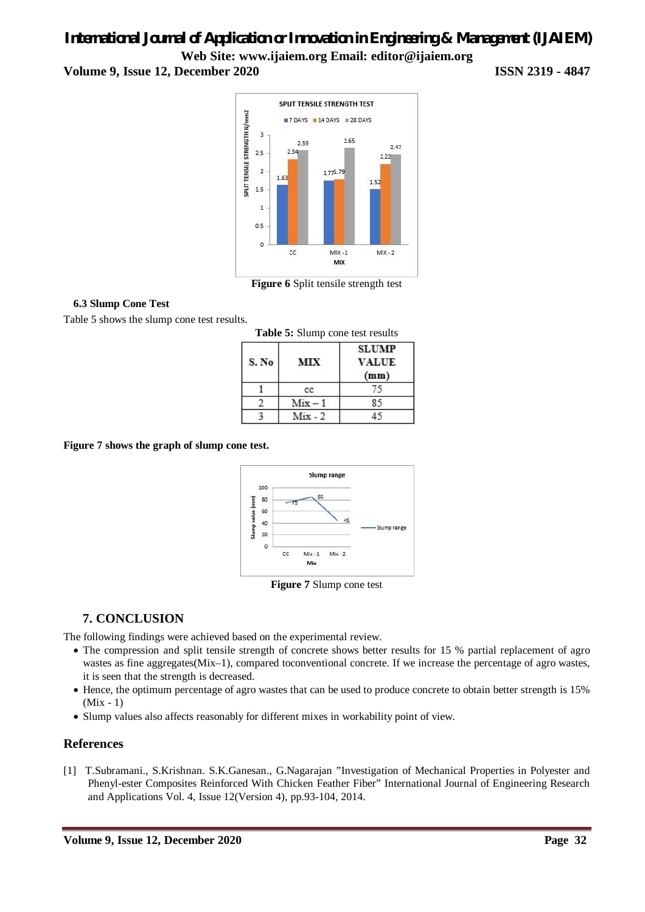# *International Journal of Application or Innovation in Engineering & Management (IJAIEM)* **Web Site: www.ijaiem.org Email: editor@ijaiem.org Volume 9, Issue 12, December 2020 ISSN 2319 - 4847**



**Figure 6** Split tensile strength test

#### **6.3 Slump Cone Test**

Table 5 shows the slump cone test results.

| Table 5: Slump cone test results |           |                                      |  |
|----------------------------------|-----------|--------------------------------------|--|
| S. No                            | MIX       | <b>SLUMP</b><br><b>VALUE</b><br>(mm) |  |
|                                  | cc        |                                      |  |
|                                  | $Mix - 1$ |                                      |  |
|                                  | $Mix - 2$ |                                      |  |

**Figure 7 shows the graph of slump cone test.**



**Figure 7** Slump cone test

# **7. CONCLUSION**

The following findings were achieved based on the experimental review.

- The compression and split tensile strength of concrete shows better results for 15 % partial replacement of agro wastes as fine aggregates(Mix–1), compared to conventional concrete. If we increase the percentage of agro wastes, it is seen that the strength is decreased.
- Hence, the optimum percentage of agro wastes that can be used to produce concrete to obtain better strength is 15% (Mix - 1)
- Slump values also affects reasonably for different mixes in workability point of view.

### **References**

[1] T.Subramani., S.Krishnan. S.K.Ganesan., G.Nagarajan "Investigation of Mechanical Properties in Polyester and Phenyl-ester Composites Reinforced With Chicken Feather Fiber" International Journal of Engineering Research and Applications Vol. 4, Issue 12(Version 4), pp.93-104, 2014.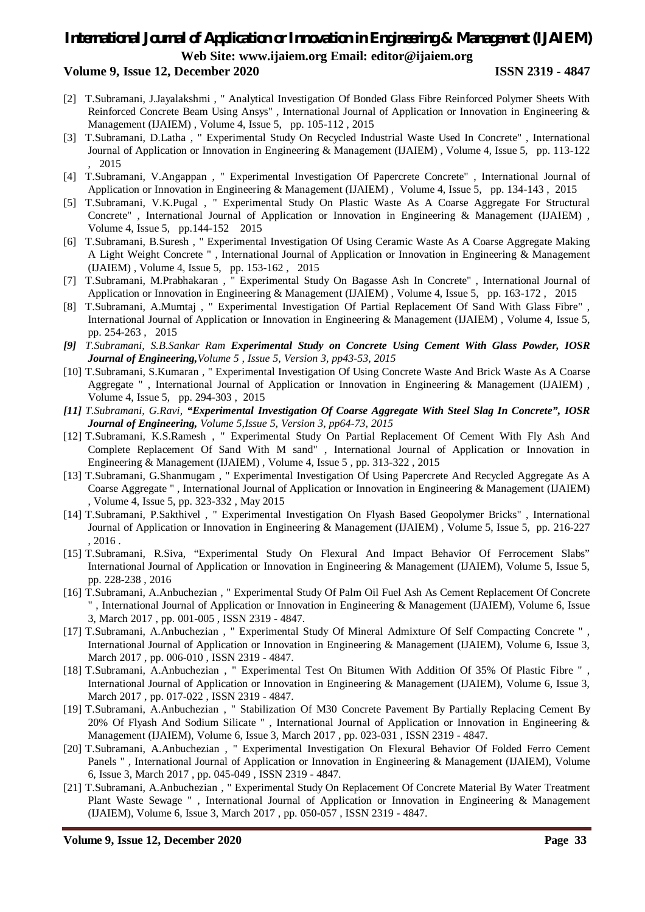#### **Volume 9, Issue 12, December 2020 ISSN 2319 - 4847**

- [2] T.Subramani, J.Jayalakshmi , " Analytical Investigation Of Bonded Glass Fibre Reinforced Polymer Sheets With Reinforced Concrete Beam Using Ansys" , International Journal of Application or Innovation in Engineering & Management (IJAIEM) , Volume 4, Issue 5, pp. 105-112 , 2015
- [3] T.Subramani, D.Latha , " Experimental Study On Recycled Industrial Waste Used In Concrete" , International Journal of Application or Innovation in Engineering & Management (IJAIEM) , Volume 4, Issue 5, pp. 113-122 , 2015
- [4] T.Subramani, V.Angappan , " Experimental Investigation Of Papercrete Concrete" , International Journal of Application or Innovation in Engineering & Management (IJAIEM) , Volume 4, Issue 5, pp. 134-143 , 2015
- [5] T.Subramani, V.K.Pugal , " Experimental Study On Plastic Waste As A Coarse Aggregate For Structural Concrete" , International Journal of Application or Innovation in Engineering & Management (IJAIEM) , Volume 4, Issue 5, pp.144-152 2015
- [6] T.Subramani, B.Suresh , " Experimental Investigation Of Using Ceramic Waste As A Coarse Aggregate Making A Light Weight Concrete " , International Journal of Application or Innovation in Engineering & Management (IJAIEM) , Volume 4, Issue 5, pp. 153-162 , 2015
- [7] T.Subramani, M.Prabhakaran , " Experimental Study On Bagasse Ash In Concrete" , International Journal of Application or Innovation in Engineering & Management (IJAIEM) , Volume 4, Issue 5, pp. 163-172 , 2015
- [8] T.Subramani, A.Mumtaj , " Experimental Investigation Of Partial Replacement Of Sand With Glass Fibre" , International Journal of Application or Innovation in Engineering & Management (IJAIEM) , Volume 4, Issue 5, pp. 254-263 , 2015
- *[9] T.Subramani, S.B.Sankar Ram Experimental Study on Concrete Using Cement With Glass Powder, IOSR Journal of Engineering,Volume 5 , Issue 5, Version 3, pp43-53, 2015*
- [10] T.Subramani, S.Kumaran , " Experimental Investigation Of Using Concrete Waste And Brick Waste As A Coarse Aggregate " , International Journal of Application or Innovation in Engineering & Management (IJAIEM) , Volume 4, Issue 5, pp. 294-303 , 2015
- *[11] T.Subramani, G.Ravi, "Experimental Investigation Of Coarse Aggregate With Steel Slag In Concrete", IOSR Journal of Engineering, Volume 5,Issue 5, Version 3, pp64-73, 2015*
- [12] T.Subramani, K.S.Ramesh , " Experimental Study On Partial Replacement Of Cement With Fly Ash And Complete Replacement Of Sand With M sand" , International Journal of Application or Innovation in Engineering & Management (IJAIEM) , Volume 4, Issue 5 , pp. 313-322 , 2015
- [13] T.Subramani, G.Shanmugam , " Experimental Investigation Of Using Papercrete And Recycled Aggregate As A Coarse Aggregate " , International Journal of Application or Innovation in Engineering & Management (IJAIEM) , Volume 4, Issue 5, pp. 323-332 , May 2015
- [14] T.Subramani, P.Sakthivel , " Experimental Investigation On Flyash Based Geopolymer Bricks" , International Journal of Application or Innovation in Engineering & Management (IJAIEM) , Volume 5, Issue 5, pp. 216-227 , 2016 .
- [15] T.Subramani, R.Siva, "Experimental Study On Flexural And Impact Behavior Of Ferrocement Slabs" International Journal of Application or Innovation in Engineering & Management (IJAIEM), Volume 5, Issue 5, pp. 228-238 , 2016
- [16] T.Subramani, A.Anbuchezian , " Experimental Study Of Palm Oil Fuel Ash As Cement Replacement Of Concrete " , International Journal of Application or Innovation in Engineering & Management (IJAIEM), Volume 6, Issue 3, March 2017 , pp. 001-005 , ISSN 2319 - 4847.
- [17] T.Subramani, A.Anbuchezian , " Experimental Study Of Mineral Admixture Of Self Compacting Concrete " , International Journal of Application or Innovation in Engineering & Management (IJAIEM), Volume 6, Issue 3, March 2017 , pp. 006-010 , ISSN 2319 - 4847.
- [18] T.Subramani, A.Anbuchezian , " Experimental Test On Bitumen With Addition Of 35% Of Plastic Fibre " , International Journal of Application or Innovation in Engineering & Management (IJAIEM), Volume 6, Issue 3, March 2017 , pp. 017-022 , ISSN 2319 - 4847.
- [19] T.Subramani, A.Anbuchezian , " Stabilization Of M30 Concrete Pavement By Partially Replacing Cement By 20% Of Flyash And Sodium Silicate " , International Journal of Application or Innovation in Engineering & Management (IJAIEM), Volume 6, Issue 3, March 2017 , pp. 023-031 , ISSN 2319 - 4847.
- [20] T.Subramani, A.Anbuchezian , " Experimental Investigation On Flexural Behavior Of Folded Ferro Cement Panels " , International Journal of Application or Innovation in Engineering & Management (IJAIEM), Volume 6, Issue 3, March 2017 , pp. 045-049 , ISSN 2319 - 4847.
- [21] T.Subramani, A.Anbuchezian , " Experimental Study On Replacement Of Concrete Material By Water Treatment Plant Waste Sewage " , International Journal of Application or Innovation in Engineering & Management (IJAIEM), Volume 6, Issue 3, March 2017 , pp. 050-057 , ISSN 2319 - 4847.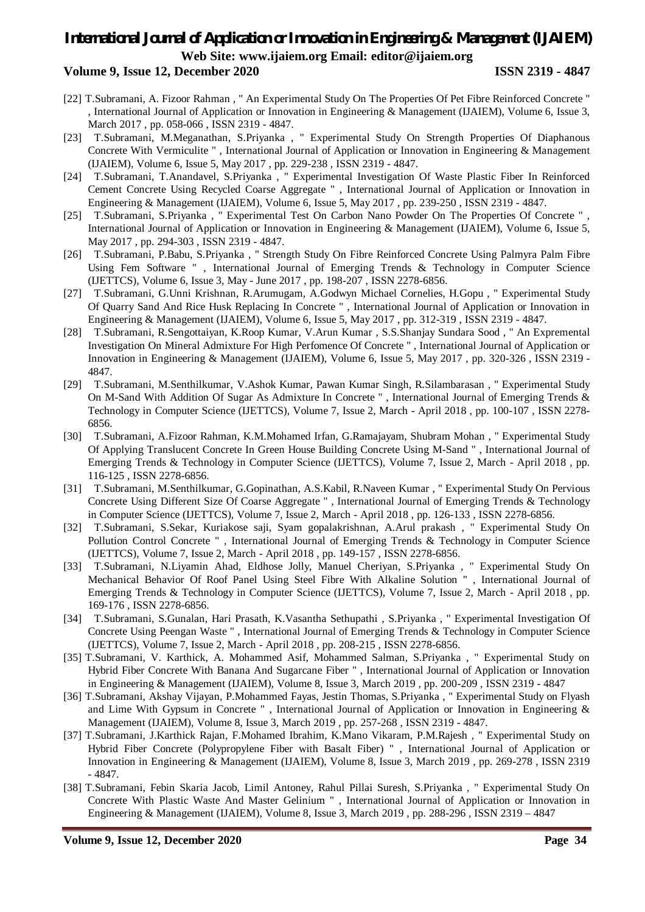#### **Volume 9, Issue 12, December 2020 ISSN 2319 - 4847**

- [22] T.Subramani, A. Fizoor Rahman, " An Experimental Study On The Properties Of Pet Fibre Reinforced Concrete " , International Journal of Application or Innovation in Engineering & Management (IJAIEM), Volume 6, Issue 3, March 2017, pp. 058-066, ISSN 2319 - 4847.
- [23] T.Subramani, M.Meganathan, S.Priyanka , " Experimental Study On Strength Properties Of Diaphanous Concrete With Vermiculite " , International Journal of Application or Innovation in Engineering & Management (IJAIEM), Volume 6, Issue 5, May 2017 , pp. 229-238 , ISSN 2319 - 4847.
- [24] T.Subramani, T.Anandavel, S.Priyanka , " Experimental Investigation Of Waste Plastic Fiber In Reinforced Cement Concrete Using Recycled Coarse Aggregate " , International Journal of Application or Innovation in Engineering & Management (IJAIEM), Volume 6, Issue 5, May 2017 , pp. 239-250 , ISSN 2319 - 4847.
- [25] T.Subramani, S.Priyanka , " Experimental Test On Carbon Nano Powder On The Properties Of Concrete " , International Journal of Application or Innovation in Engineering & Management (IJAIEM), Volume 6, Issue 5, May 2017 , pp. 294-303 , ISSN 2319 - 4847.
- [26] T.Subramani, P.Babu, S.Priyanka , " Strength Study On Fibre Reinforced Concrete Using Palmyra Palm Fibre Using Fem Software " , International Journal of Emerging Trends & Technology in Computer Science (IJETTCS), Volume 6, Issue 3, May - June 2017 , pp. 198-207 , ISSN 2278-6856.
- [27] T.Subramani, G.Unni Krishnan, R.Arumugam, A.Godwyn Michael Cornelies, H.Gopu , " Experimental Study Of Quarry Sand And Rice Husk Replacing In Concrete " , International Journal of Application or Innovation in Engineering & Management (IJAIEM), Volume 6, Issue 5, May 2017 , pp. 312-319 , ISSN 2319 - 4847.
- [28] T.Subramani, R.Sengottaiyan, K.Roop Kumar, V.Arun Kumar , S.S.Shanjay Sundara Sood , " An Expremental Investigation On Mineral Admixture For High Perfomence Of Concrete " , International Journal of Application or Innovation in Engineering & Management (IJAIEM), Volume 6, Issue 5, May 2017 , pp. 320-326 , ISSN 2319 - 4847.
- [29] T.Subramani, M.Senthilkumar, V.Ashok Kumar, Pawan Kumar Singh, R.Silambarasan , " Experimental Study On M-Sand With Addition Of Sugar As Admixture In Concrete " , International Journal of Emerging Trends & Technology in Computer Science (IJETTCS), Volume 7, Issue 2, March - April 2018 , pp. 100-107 , ISSN 2278- 6856.
- [30] T.Subramani, A.Fizoor Rahman, K.M.Mohamed Irfan, G.Ramajayam, Shubram Mohan , " Experimental Study Of Applying Translucent Concrete In Green House Building Concrete Using M-Sand " , International Journal of Emerging Trends & Technology in Computer Science (IJETTCS), Volume 7, Issue 2, March - April 2018 , pp. 116-125 , ISSN 2278-6856.
- [31] T.Subramani, M.Senthilkumar, G.Gopinathan, A.S.Kabil, R.Naveen Kumar , " Experimental Study On Pervious Concrete Using Different Size Of Coarse Aggregate " , International Journal of Emerging Trends & Technology in Computer Science (IJETTCS), Volume 7, Issue 2, March - April 2018 , pp. 126-133 , ISSN 2278-6856.
- [32] T.Subramani, S.Sekar, Kuriakose saji, Syam gopalakrishnan, A.Arul prakash , " Experimental Study On Pollution Control Concrete " , International Journal of Emerging Trends & Technology in Computer Science (IJETTCS), Volume 7, Issue 2, March - April 2018 , pp. 149-157 , ISSN 2278-6856.
- [33] T.Subramani, N.Liyamin Ahad, Eldhose Jolly, Manuel Cheriyan, S.Priyanka , " Experimental Study On Mechanical Behavior Of Roof Panel Using Steel Fibre With Alkaline Solution " , International Journal of Emerging Trends & Technology in Computer Science (IJETTCS), Volume 7, Issue 2, March - April 2018 , pp. 169-176 , ISSN 2278-6856.
- [34] T.Subramani, S.Gunalan, Hari Prasath, K.Vasantha Sethupathi , S.Priyanka , " Experimental Investigation Of Concrete Using Peengan Waste " , International Journal of Emerging Trends & Technology in Computer Science (IJETTCS), Volume 7, Issue 2, March - April 2018 , pp. 208-215 , ISSN 2278-6856.
- [35] T.Subramani, V. Karthick, A. Mohammed Asif, Mohammed Salman, S.Priyanka , " Experimental Study on Hybrid Fiber Concrete With Banana And Sugarcane Fiber " , International Journal of Application or Innovation in Engineering & Management (IJAIEM), Volume 8, Issue 3, March 2019 , pp. 200-209 , ISSN 2319 - 4847
- [36] T.Subramani, Akshay Vijayan, P.Mohammed Fayas, Jestin Thomas, S.Priyanka , " Experimental Study on Flyash and Lime With Gypsum in Concrete " , International Journal of Application or Innovation in Engineering & Management (IJAIEM), Volume 8, Issue 3, March 2019 , pp. 257-268 , ISSN 2319 - 4847.
- [37] T.Subramani, J.Karthick Rajan, F.Mohamed Ibrahim, K.Mano Vikaram, P.M.Rajesh , " Experimental Study on Hybrid Fiber Concrete (Polypropylene Fiber with Basalt Fiber) " , International Journal of Application or Innovation in Engineering & Management (IJAIEM), Volume 8, Issue 3, March 2019 , pp. 269-278 , ISSN 2319 - 4847.
- [38] T.Subramani, Febin Skaria Jacob, Limil Antoney, Rahul Pillai Suresh, S.Priyanka , " Experimental Study On Concrete With Plastic Waste And Master Gelinium " , International Journal of Application or Innovation in Engineering & Management (IJAIEM), Volume 8, Issue 3, March 2019 , pp. 288-296 , ISSN 2319 – 4847